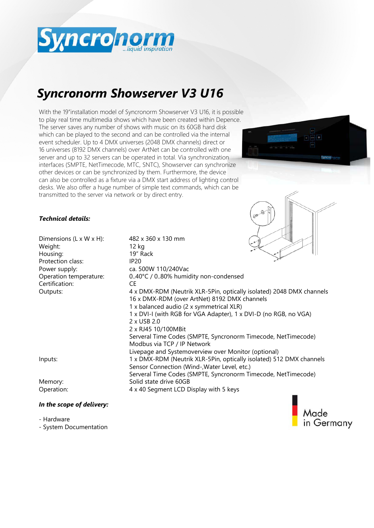

# *Syncronorm Showserver V3 U16*

With the 19"installation model of Syncronorm Showserver V3 U16, it is possible to play real time multimedia shows which have been created within Depence. The server saves any number of shows with music on its 60GB hard disk which can be played to the second and can be controlled via the internal event scheduler. Up to 4 DMX universes (2048 DMX channels) direct or 16 universes (8192 DMX channels) over ArtNet can be controlled with one server and up to 32 servers can be operated in total. Via synchronization interfaces (SMPTE, NetTimecode, MTC, SNTC), Showserver can synchronize other devices or can be synchronized by them. Furthermore, the device can also be controlled as a fixture via a DMX start address of lighting control desks. We also offer a huge number of simple text commands, which can be transmitted to the server via network or by direct entry.



### *Technical details:*

| Dimensions (L x W x H):<br>Weight:<br>Housing: | 482 x 360 x 130 mm<br>12 kg<br>19" Rack                                                                                                                          |
|------------------------------------------------|------------------------------------------------------------------------------------------------------------------------------------------------------------------|
| Protection class:                              | <b>IP20</b>                                                                                                                                                      |
| Power supply:                                  | ca. 500W 110/240Vac                                                                                                                                              |
| Operation temperature:                         | 040°C / 080% humidity non-condensed                                                                                                                              |
| Certification:                                 | CE                                                                                                                                                               |
| Outputs:                                       | 4 x DMX-RDM (Neutrik XLR-5Pin, optically isolated) 2048 DMX channels<br>16 x DMX-RDM (over ArtNet) 8192 DMX channels<br>1 x balanced audio (2 x symmetrical XLR) |
|                                                | 1 x DVI-I (with RGB for VGA Adapter), 1 x DVI-D (no RGB, no VGA)                                                                                                 |
|                                                | 2 x USB 2.0                                                                                                                                                      |
|                                                | 2 x RJ45 10/100MBit                                                                                                                                              |
|                                                | Serveral Time Codes (SMPTE, Syncronorm Timecode, NetTimecode)<br>Modbus via TCP / IP Network                                                                     |
|                                                | Livepage and Systemoverview over Monitor (optional)                                                                                                              |
| Inputs:                                        | 1 x DMX-RDM (Neutrik XLR-5Pin, optically isolated) 512 DMX channels<br>Sensor Connection (Wind-, Water Level, etc.)                                              |
|                                                | Serveral Time Codes (SMPTE, Syncronorm Timecode, NetTimecode)                                                                                                    |
| Memory:                                        | Solid state drive 60GB                                                                                                                                           |
| Operation:                                     | 4 x 40 Segment LCD Display with 5 keys                                                                                                                           |
| In the scope of delivery:                      |                                                                                                                                                                  |



- System Documentation